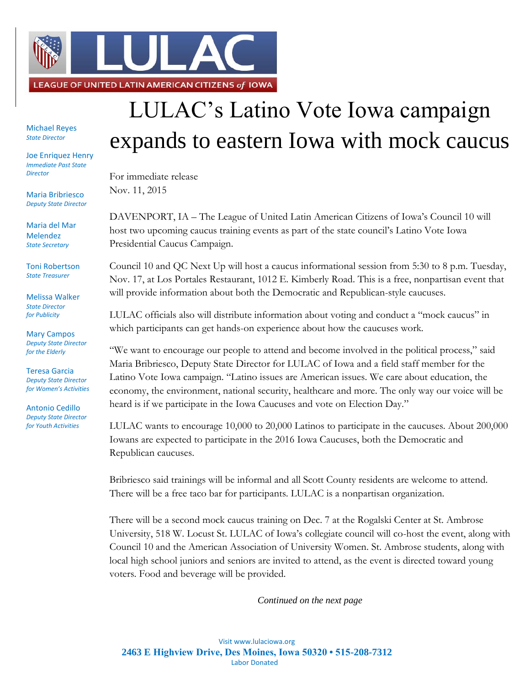

Michael Reyes *State Director*

Joe Enriquez Henry *Immediate Past State Director*

Maria Bribriesco *Deputy State Director*

Maria del Mar Melendez *State Secretary*

Toni Robertson *State Treasurer*

Melissa Walker *State Director for Publicity*

Mary Campos *Deputy State Director for the Elderly*

Teresa Garcia *Deputy State Director for Women's Activities*

Antonio Cedillo *Deputy State Director for Youth Activities*

## LULAC's Latino Vote Iowa campaign expands to eastern Iowa with mock caucus

For immediate release Nov. 11, 2015

DAVENPORT, IA – The League of United Latin American Citizens of Iowa's Council 10 will host two upcoming caucus training events as part of the state council's Latino Vote Iowa Presidential Caucus Campaign.

Council 10 and QC Next Up will host a caucus informational session from 5:30 to 8 p.m. Tuesday, Nov. 17, at Los Portales Restaurant, 1012 E. Kimberly Road. This is a free, nonpartisan event that will provide information about both the Democratic and Republican-style caucuses.

LULAC officials also will distribute information about voting and conduct a "mock caucus" in which participants can get hands-on experience about how the caucuses work.

"We want to encourage our people to attend and become involved in the political process," said Maria Bribriesco, Deputy State Director for LULAC of Iowa and a field staff member for the Latino Vote Iowa campaign. "Latino issues are American issues. We care about education, the economy, the environment, national security, healthcare and more. The only way our voice will be heard is if we participate in the Iowa Caucuses and vote on Election Day."

LULAC wants to encourage 10,000 to 20,000 Latinos to participate in the caucuses. About 200,000 Iowans are expected to participate in the 2016 Iowa Caucuses, both the Democratic and Republican caucuses.

Bribriesco said trainings will be informal and all Scott County residents are welcome to attend. There will be a free taco bar for participants. LULAC is a nonpartisan organization.

There will be a second mock caucus training on Dec. 7 at the Rogalski Center at St. Ambrose University, 518 W. Locust St. LULAC of Iowa's collegiate council will co-host the event, along with Council 10 and the American Association of University Women. St. Ambrose students, along with local high school juniors and seniors are invited to attend, as the event is directed toward young voters. Food and beverage will be provided.

*Continued on the next page*